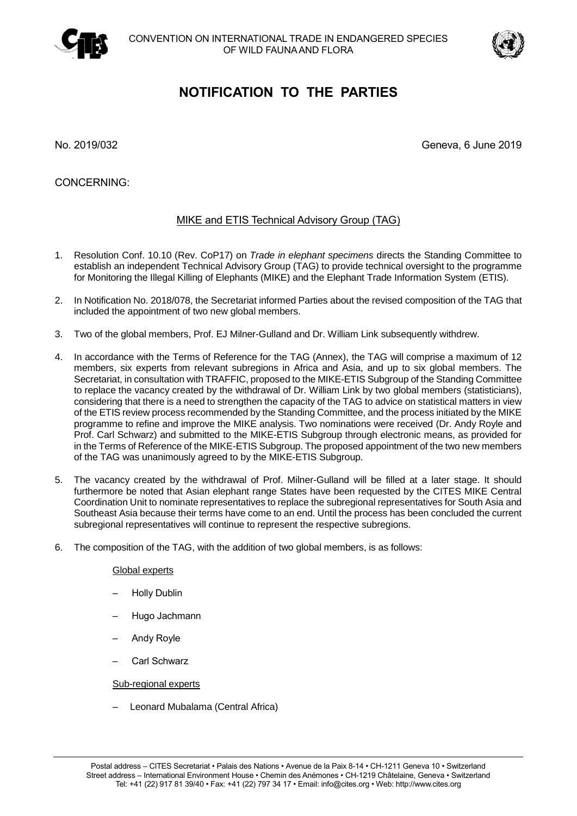



# **NOTIFICATION TO THE PARTIES**

No. 2019/032 Geneva, 6 June 2019

CONCERNING:

# MIKE and ETIS Technical Advisory Group (TAG)

- 1. Resolution Conf. 10.10 (Rev. CoP17) on *Trade in elephant specimens* directs the Standing Committee to establish an independent Technical Advisory Group (TAG) to provide technical oversight to the programme for Monitoring the Illegal Killing of Elephants (MIKE) and the Elephant Trade Information System (ETIS).
- 2. In Notification No. 2018/078, the Secretariat informed Parties about the revised composition of the TAG that included the appointment of two new global members.
- 3. Two of the global members, Prof. EJ Milner-Gulland and Dr. William Link subsequently withdrew.
- 4. In accordance with the Terms of Reference for the TAG (Annex), the TAG will comprise a maximum of 12 members, six experts from relevant subregions in Africa and Asia, and up to six global members. The Secretariat, in consultation with TRAFFIC, proposed to the MIKE-ETIS Subgroup of the Standing Committee to replace the vacancy created by the withdrawal of Dr. William Link by two global members (statisticians), considering that there is a need to strengthen the capacity of the TAG to advice on statistical matters in view of the ETIS review process recommended by the Standing Committee, and the process initiated by the MIKE programme to refine and improve the MIKE analysis. Two nominations were received (Dr. Andy Royle and Prof. Carl Schwarz) and submitted to the MIKE-ETIS Subgroup through electronic means, as provided for in the Terms of Reference of the MIKE-ETIS Subgroup. The proposed appointment of the two new members of the TAG was unanimously agreed to by the MIKE-ETIS Subgroup.
- 5. The vacancy created by the withdrawal of Prof. Milner-Gulland will be filled at a later stage. It should furthermore be noted that Asian elephant range States have been requested by the CITES MIKE Central Coordination Unit to nominate representatives to replace the subregional representatives for South Asia and Southeast Asia because their terms have come to an end. Until the process has been concluded the current subregional representatives will continue to represent the respective subregions.
- 6. The composition of the TAG, with the addition of two global members, is as follows:

## Global experts

- Holly Dublin
- Hugo Jachmann
- Andy Royle
- Carl Schwarz

## Sub-regional experts

– Leonard Mubalama (Central Africa)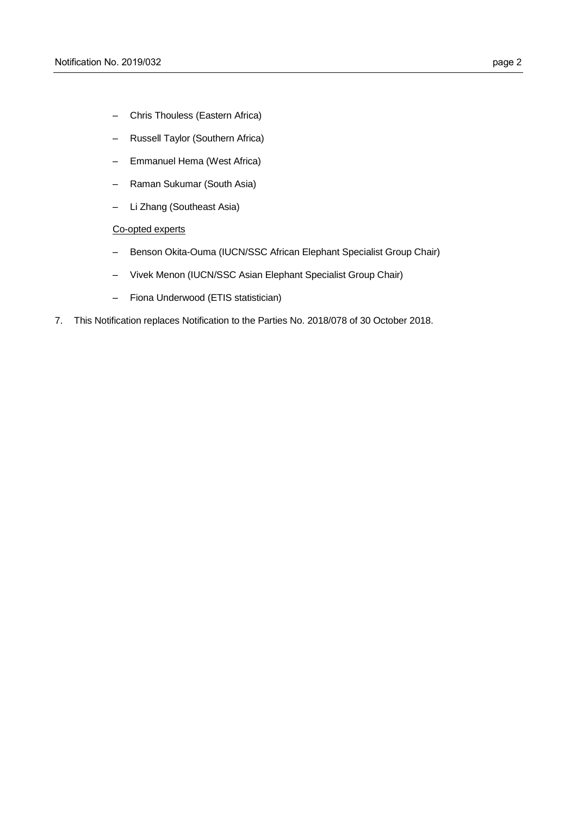- Chris Thouless (Eastern Africa)
- Russell Taylor (Southern Africa)
- Emmanuel Hema (West Africa)
- Raman Sukumar (South Asia)
- Li Zhang (Southeast Asia)

# Co-opted experts

- Benson Okita-Ouma (IUCN/SSC African Elephant Specialist Group Chair)
- Vivek Menon (IUCN/SSC Asian Elephant Specialist Group Chair)
- Fiona Underwood (ETIS statistician)
- 7. This Notification replaces Notification to the Parties No. 2018/078 of 30 October 2018.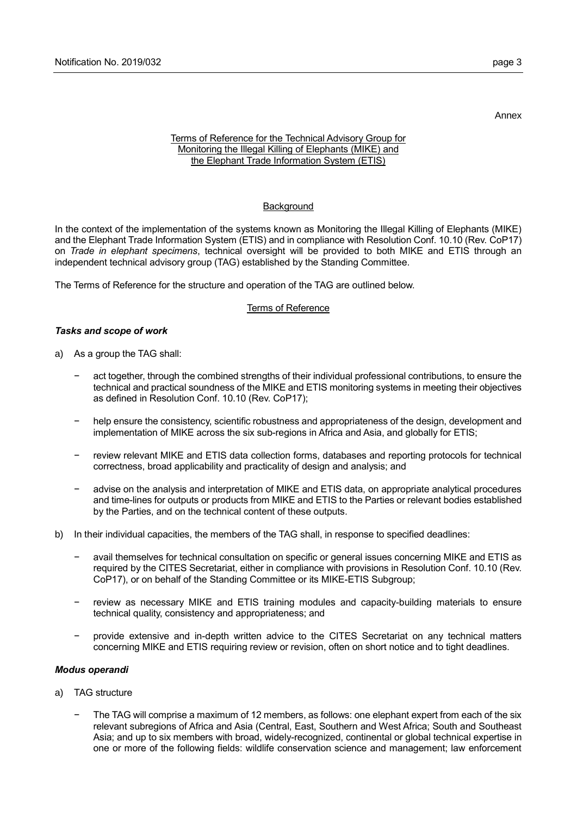Annex

#### Terms of Reference for the Technical Advisory Group for Monitoring the Illegal Killing of Elephants (MIKE) and the Elephant Trade Information System (ETIS)

#### **Background**

In the context of the implementation of the systems known as Monitoring the Illegal Killing of Elephants (MIKE) and the Elephant Trade Information System (ETIS) and in compliance with Resolution Conf. 10.10 (Rev. CoP17) on *Trade in elephant specimens*, technical oversight will be provided to both MIKE and ETIS through an independent technical advisory group (TAG) established by the Standing Committee.

The Terms of Reference for the structure and operation of the TAG are outlined below.

#### Terms of Reference

#### *Tasks and scope of work*

- a) As a group the TAG shall:
	- act together, through the combined strengths of their individual professional contributions, to ensure the technical and practical soundness of the MIKE and ETIS monitoring systems in meeting their objectives as defined in Resolution Conf. 10.10 (Rev. CoP17);
	- − help ensure the consistency, scientific robustness and appropriateness of the design, development and implementation of MIKE across the six sub-regions in Africa and Asia, and globally for ETIS;
	- review relevant MIKE and ETIS data collection forms, databases and reporting protocols for technical correctness, broad applicability and practicality of design and analysis; and
	- − advise on the analysis and interpretation of MIKE and ETIS data, on appropriate analytical procedures and time-lines for outputs or products from MIKE and ETIS to the Parties or relevant bodies established by the Parties, and on the technical content of these outputs.
- b) In their individual capacities, the members of the TAG shall, in response to specified deadlines:
	- − avail themselves for technical consultation on specific or general issues concerning MIKE and ETIS as required by the CITES Secretariat, either in compliance with provisions in Resolution Conf. 10.10 (Rev. CoP17), or on behalf of the Standing Committee or its MIKE-ETIS Subgroup;
	- review as necessary MIKE and ETIS training modules and capacity-building materials to ensure technical quality, consistency and appropriateness; and
	- − provide extensive and in-depth written advice to the CITES Secretariat on any technical matters concerning MIKE and ETIS requiring review or revision, often on short notice and to tight deadlines.

#### *Modus operandi*

- a) TAG structure
	- The TAG will comprise a maximum of 12 members, as follows: one elephant expert from each of the six relevant subregions of Africa and Asia (Central, East, Southern and West Africa; South and Southeast Asia; and up to six members with broad, widely-recognized, continental or global technical expertise in one or more of the following fields: wildlife conservation science and management; law enforcement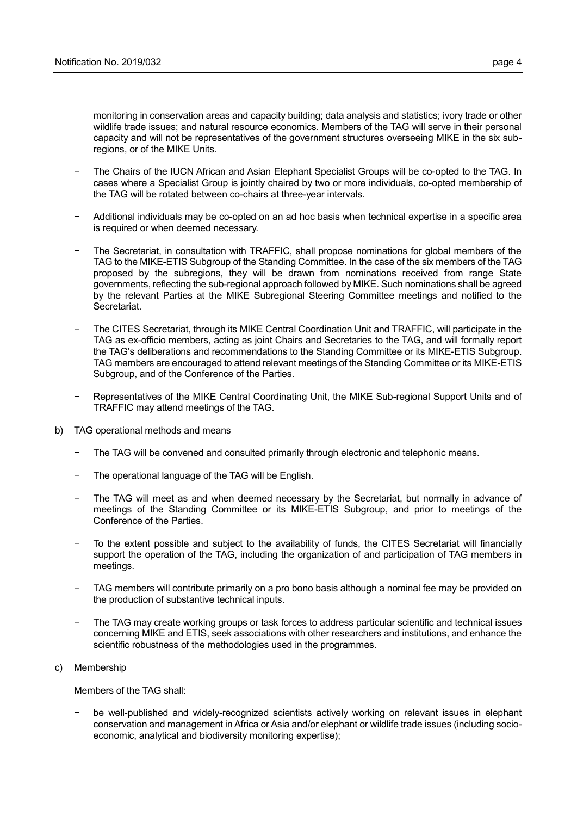monitoring in conservation areas and capacity building; data analysis and statistics; ivory trade or other wildlife trade issues; and natural resource economics. Members of the TAG will serve in their personal capacity and will not be representatives of the government structures overseeing MIKE in the six subregions, or of the MIKE Units.

- − The Chairs of the IUCN African and Asian Elephant Specialist Groups will be co-opted to the TAG. In cases where a Specialist Group is jointly chaired by two or more individuals, co-opted membership of the TAG will be rotated between co-chairs at three-year intervals.
- − Additional individuals may be co-opted on an ad hoc basis when technical expertise in a specific area is required or when deemed necessary.
- The Secretariat, in consultation with TRAFFIC, shall propose nominations for global members of the TAG to the MIKE-ETIS Subgroup of the Standing Committee. In the case of the six members of the TAG proposed by the subregions, they will be drawn from nominations received from range State governments, reflecting the sub-regional approach followed by MIKE. Such nominations shall be agreed by the relevant Parties at the MIKE Subregional Steering Committee meetings and notified to the Secretariat.
- The CITES Secretariat, through its MIKE Central Coordination Unit and TRAFFIC, will participate in the TAG as ex-officio members, acting as joint Chairs and Secretaries to the TAG, and will formally report the TAG's deliberations and recommendations to the Standing Committee or its MIKE-ETIS Subgroup. TAG members are encouraged to attend relevant meetings of the Standing Committee or its MIKE-ETIS Subgroup, and of the Conference of the Parties.
- Representatives of the MIKE Central Coordinating Unit, the MIKE Sub-regional Support Units and of TRAFFIC may attend meetings of the TAG.
- b) TAG operational methods and means
	- The TAG will be convened and consulted primarily through electronic and telephonic means.
	- The operational language of the TAG will be English.
	- The TAG will meet as and when deemed necessary by the Secretariat, but normally in advance of meetings of the Standing Committee or its MIKE-ETIS Subgroup, and prior to meetings of the Conference of the Parties.
	- To the extent possible and subject to the availability of funds, the CITES Secretariat will financially support the operation of the TAG, including the organization of and participation of TAG members in meetings.
	- TAG members will contribute primarily on a pro bono basis although a nominal fee may be provided on the production of substantive technical inputs.
	- − The TAG may create working groups or task forces to address particular scientific and technical issues concerning MIKE and ETIS, seek associations with other researchers and institutions, and enhance the scientific robustness of the methodologies used in the programmes.
- c) Membership

Members of the TAG shall:

be well-published and widely-recognized scientists actively working on relevant issues in elephant conservation and management in Africa or Asia and/or elephant or wildlife trade issues (including socioeconomic, analytical and biodiversity monitoring expertise);